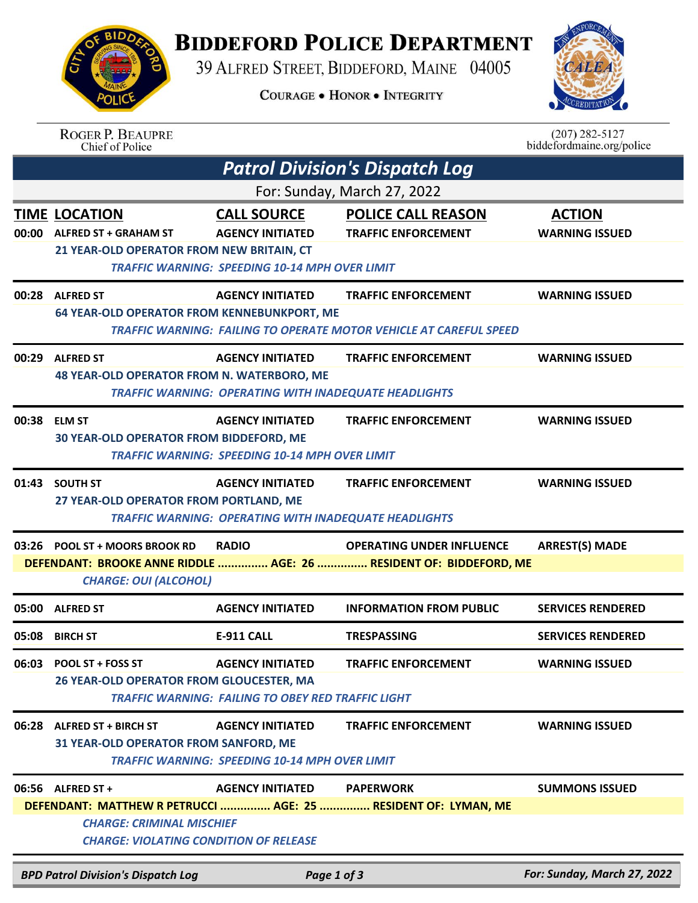## **BIDDEFORD POLICE DEPARTMENT**

39 ALFRED STREET, BIDDEFORD, MAINE 04005

**COURAGE . HONOR . INTEGRITY** 



| <b>BIDD<sub>S</sub></b><br>AGS |  |
|--------------------------------|--|
|                                |  |
| 88 S                           |  |
| <b>GE</b><br>OLI               |  |

| $(207)$ 282-5127          |
|---------------------------|
| biddefordmaine.org/police |

|                                                                | <b>ROGER P. BEAUPRE</b><br>Chief of Police         |                                                              |                                                                           | $(207)$ 282-5127<br>biddefordmaine.org/police |  |
|----------------------------------------------------------------|----------------------------------------------------|--------------------------------------------------------------|---------------------------------------------------------------------------|-----------------------------------------------|--|
|                                                                |                                                    |                                                              | <b>Patrol Division's Dispatch Log</b>                                     |                                               |  |
|                                                                |                                                    |                                                              | For: Sunday, March 27, 2022                                               |                                               |  |
|                                                                | <b>TIME LOCATION</b>                               | <b>CALL SOURCE</b>                                           | <b>POLICE CALL REASON</b>                                                 | <b>ACTION</b>                                 |  |
| 00:00                                                          | <b>ALFRED ST + GRAHAM ST</b>                       | <b>AGENCY INITIATED</b>                                      | <b>TRAFFIC ENFORCEMENT</b>                                                | <b>WARNING ISSUED</b>                         |  |
|                                                                | 21 YEAR-OLD OPERATOR FROM NEW BRITAIN, CT          |                                                              |                                                                           |                                               |  |
|                                                                |                                                    | <b>TRAFFIC WARNING: SPEEDING 10-14 MPH OVER LIMIT</b>        |                                                                           |                                               |  |
| 00:28                                                          | <b>ALFRED ST</b>                                   | <b>AGENCY INITIATED</b>                                      | <b>TRAFFIC ENFORCEMENT</b>                                                | <b>WARNING ISSUED</b>                         |  |
|                                                                | <b>64 YEAR-OLD OPERATOR FROM KENNEBUNKPORT, ME</b> |                                                              |                                                                           |                                               |  |
|                                                                |                                                    |                                                              | <b>TRAFFIC WARNING: FAILING TO OPERATE MOTOR VEHICLE AT CAREFUL SPEED</b> |                                               |  |
| 00:29                                                          | <b>ALFRED ST</b>                                   | <b>AGENCY INITIATED</b>                                      | <b>TRAFFIC ENFORCEMENT</b>                                                | <b>WARNING ISSUED</b>                         |  |
|                                                                | 48 YEAR-OLD OPERATOR FROM N. WATERBORO, ME         |                                                              |                                                                           |                                               |  |
|                                                                |                                                    | <b>TRAFFIC WARNING: OPERATING WITH INADEQUATE HEADLIGHTS</b> |                                                                           |                                               |  |
|                                                                | 00:38 ELM ST                                       | <b>AGENCY INITIATED</b>                                      | <b>TRAFFIC ENFORCEMENT</b>                                                | <b>WARNING ISSUED</b>                         |  |
|                                                                | 30 YEAR-OLD OPERATOR FROM BIDDEFORD, ME            |                                                              |                                                                           |                                               |  |
|                                                                |                                                    | <b>TRAFFIC WARNING: SPEEDING 10-14 MPH OVER LIMIT</b>        |                                                                           |                                               |  |
|                                                                | 01:43 SOUTH ST                                     | <b>AGENCY INITIATED</b>                                      | <b>TRAFFIC ENFORCEMENT</b>                                                | <b>WARNING ISSUED</b>                         |  |
|                                                                | 27 YEAR-OLD OPERATOR FROM PORTLAND, ME             |                                                              |                                                                           |                                               |  |
|                                                                |                                                    | <b>TRAFFIC WARNING: OPERATING WITH INADEQUATE HEADLIGHTS</b> |                                                                           |                                               |  |
|                                                                | 03:26 POOL ST + MOORS BROOK RD                     | <b>RADIO</b>                                                 | <b>OPERATING UNDER INFLUENCE</b>                                          | <b>ARREST(S) MADE</b>                         |  |
|                                                                |                                                    |                                                              | DEFENDANT: BROOKE ANNE RIDDLE  AGE: 26  RESIDENT OF: BIDDEFORD, ME        |                                               |  |
|                                                                | <b>CHARGE: OUI (ALCOHOL)</b>                       |                                                              |                                                                           |                                               |  |
| 05:00                                                          | <b>ALFRED ST</b>                                   | <b>AGENCY INITIATED</b>                                      | <b>INFORMATION FROM PUBLIC</b>                                            | <b>SERVICES RENDERED</b>                      |  |
|                                                                | 05:08 BIRCH ST                                     | E-911 CALL                                                   | <b>TRESPASSING</b>                                                        | <b>SERVICES RENDERED</b>                      |  |
| 06:03                                                          | POOL ST + FOSS ST                                  | <b>AGENCY INITIATED</b>                                      | <b>TRAFFIC ENFORCEMENT</b>                                                | <b>WARNING ISSUED</b>                         |  |
|                                                                | 26 YEAR-OLD OPERATOR FROM GLOUCESTER, MA           |                                                              |                                                                           |                                               |  |
| <b>TRAFFIC WARNING: FAILING TO OBEY RED TRAFFIC LIGHT</b>      |                                                    |                                                              |                                                                           |                                               |  |
|                                                                | 06:28 ALFRED ST + BIRCH ST                         | <b>AGENCY INITIATED</b>                                      | <b>TRAFFIC ENFORCEMENT</b>                                                | <b>WARNING ISSUED</b>                         |  |
|                                                                | 31 YEAR-OLD OPERATOR FROM SANFORD, ME              |                                                              |                                                                           |                                               |  |
| <b>TRAFFIC WARNING: SPEEDING 10-14 MPH OVER LIMIT</b>          |                                                    |                                                              |                                                                           |                                               |  |
|                                                                | 06:56 ALFRED ST +                                  | <b>AGENCY INITIATED</b>                                      | <b>PAPERWORK</b>                                                          | <b>SUMMONS ISSUED</b>                         |  |
| DEFENDANT: MATTHEW R PETRUCCI  AGE: 25  RESIDENT OF: LYMAN, ME |                                                    |                                                              |                                                                           |                                               |  |
|                                                                | <b>CHARGE: CRIMINAL MISCHIEF</b>                   |                                                              |                                                                           |                                               |  |
| <b>CHARGE: VIOLATING CONDITION OF RELEASE</b>                  |                                                    |                                                              |                                                                           |                                               |  |
|                                                                | <b>BPD Patrol Division's Dispatch Log</b>          | Page 1 of 3                                                  |                                                                           | For: Sunday, March 27, 2022                   |  |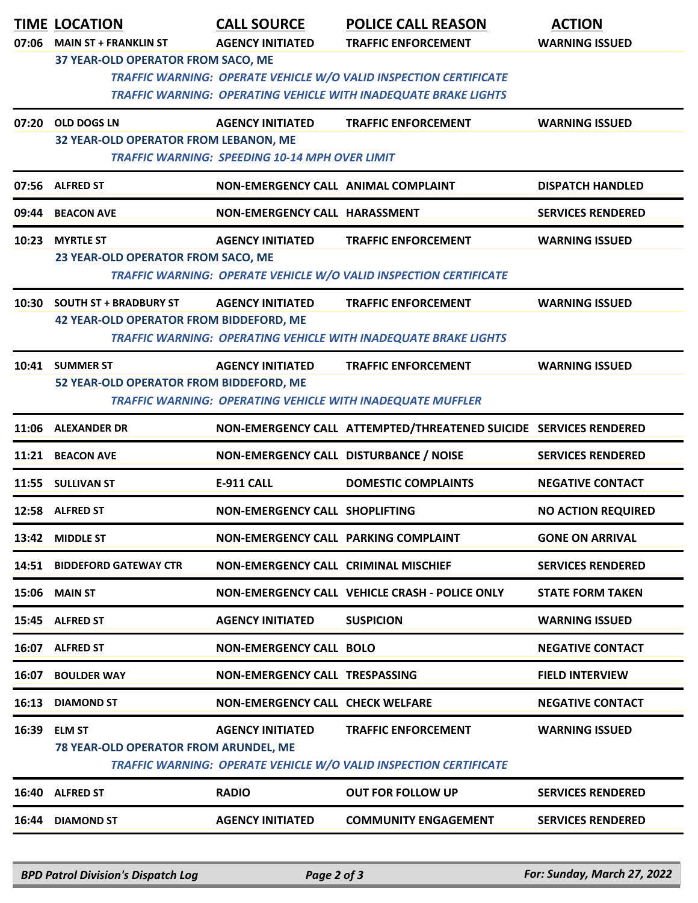| 07:06 | <b>TIME LOCATION</b><br><b>MAIN ST + FRANKLIN ST</b><br>37 YEAR-OLD OPERATOR FROM SACO, ME | <b>CALL SOURCE</b><br><b>AGENCY INITIATED</b>                                    | <b>POLICE CALL REASON</b><br><b>TRAFFIC ENFORCEMENT</b>                                                                              | <b>ACTION</b><br><b>WARNING ISSUED</b> |
|-------|--------------------------------------------------------------------------------------------|----------------------------------------------------------------------------------|--------------------------------------------------------------------------------------------------------------------------------------|----------------------------------------|
|       |                                                                                            |                                                                                  | TRAFFIC WARNING: OPERATE VEHICLE W/O VALID INSPECTION CERTIFICATE<br>TRAFFIC WARNING: OPERATING VEHICLE WITH INADEQUATE BRAKE LIGHTS |                                        |
|       | 07:20 OLD DOGS LN<br>32 YEAR-OLD OPERATOR FROM LEBANON, ME                                 | <b>AGENCY INITIATED</b><br><b>TRAFFIC WARNING: SPEEDING 10-14 MPH OVER LIMIT</b> | <b>TRAFFIC ENFORCEMENT</b>                                                                                                           | <b>WARNING ISSUED</b>                  |
|       | 07:56 ALFRED ST                                                                            | NON-EMERGENCY CALL ANIMAL COMPLAINT                                              |                                                                                                                                      | <b>DISPATCH HANDLED</b>                |
|       | 09:44 BEACON AVE                                                                           | NON-EMERGENCY CALL HARASSMENT                                                    |                                                                                                                                      | <b>SERVICES RENDERED</b>               |
| 10:23 | <b>MYRTLE ST</b>                                                                           | <b>AGENCY INITIATED</b>                                                          | <b>TRAFFIC ENFORCEMENT</b>                                                                                                           | <b>WARNING ISSUED</b>                  |
|       | 23 YEAR-OLD OPERATOR FROM SACO, ME                                                         |                                                                                  | TRAFFIC WARNING: OPERATE VEHICLE W/O VALID INSPECTION CERTIFICATE                                                                    |                                        |
| 10:30 | <b>SOUTH ST + BRADBURY ST</b>                                                              | <b>AGENCY INITIATED</b>                                                          | <b>TRAFFIC ENFORCEMENT</b>                                                                                                           | <b>WARNING ISSUED</b>                  |
|       | 42 YEAR-OLD OPERATOR FROM BIDDEFORD, ME                                                    |                                                                                  | TRAFFIC WARNING: OPERATING VEHICLE WITH INADEQUATE BRAKE LIGHTS                                                                      |                                        |
| 10:41 | <b>SUMMER ST</b><br>52 YEAR-OLD OPERATOR FROM BIDDEFORD, ME                                | <b>AGENCY INITIATED</b>                                                          | <b>TRAFFIC ENFORCEMENT</b>                                                                                                           | <b>WARNING ISSUED</b>                  |
|       |                                                                                            |                                                                                  | TRAFFIC WARNING: OPERATING VEHICLE WITH INADEQUATE MUFFLER                                                                           |                                        |
|       | 11:06 ALEXANDER DR                                                                         |                                                                                  | NON-EMERGENCY CALL ATTEMPTED/THREATENED SUICIDE SERVICES RENDERED                                                                    |                                        |
|       | 11:21 BEACON AVE                                                                           | NON-EMERGENCY CALL DISTURBANCE / NOISE                                           |                                                                                                                                      | <b>SERVICES RENDERED</b>               |
|       | 11:55 SULLIVAN ST                                                                          | E-911 CALL                                                                       | <b>DOMESTIC COMPLAINTS</b>                                                                                                           | <b>NEGATIVE CONTACT</b>                |
|       | 12:58 ALFRED ST                                                                            | NON-EMERGENCY CALL SHOPLIFTING                                                   |                                                                                                                                      | <b>NO ACTION REQUIRED</b>              |
|       | 13:42 MIDDLE ST                                                                            | NON-EMERGENCY CALL PARKING COMPLAINT                                             |                                                                                                                                      | <b>GONE ON ARRIVAL</b>                 |
|       | 14:51 BIDDEFORD GATEWAY CTR                                                                | NON-EMERGENCY CALL CRIMINAL MISCHIEF                                             |                                                                                                                                      | <b>SERVICES RENDERED</b>               |
|       | <b>15:06 MAIN ST</b>                                                                       |                                                                                  | NON-EMERGENCY CALL VEHICLE CRASH - POLICE ONLY                                                                                       | <b>STATE FORM TAKEN</b>                |
|       | 15:45 ALFRED ST                                                                            | <b>AGENCY INITIATED</b>                                                          | <b>SUSPICION</b>                                                                                                                     | <b>WARNING ISSUED</b>                  |
|       | 16:07 ALFRED ST                                                                            | <b>NON-EMERGENCY CALL BOLO</b>                                                   |                                                                                                                                      | <b>NEGATIVE CONTACT</b>                |
| 16:07 | <b>BOULDER WAY</b>                                                                         | NON-EMERGENCY CALL TRESPASSING                                                   |                                                                                                                                      | <b>FIELD INTERVIEW</b>                 |
| 16:13 | <b>DIAMOND ST</b>                                                                          | NON-EMERGENCY CALL CHECK WELFARE                                                 |                                                                                                                                      | <b>NEGATIVE CONTACT</b>                |
| 16:39 | <b>ELM ST</b><br>78 YEAR-OLD OPERATOR FROM ARUNDEL, ME                                     | <b>AGENCY INITIATED</b>                                                          | <b>TRAFFIC ENFORCEMENT</b><br>TRAFFIC WARNING: OPERATE VEHICLE W/O VALID INSPECTION CERTIFICATE                                      | <b>WARNING ISSUED</b>                  |
| 16:40 | <b>ALFRED ST</b>                                                                           | <b>RADIO</b>                                                                     | <b>OUT FOR FOLLOW UP</b>                                                                                                             | <b>SERVICES RENDERED</b>               |
|       | 16:44 DIAMOND ST                                                                           | <b>AGENCY INITIATED</b>                                                          | <b>COMMUNITY ENGAGEMENT</b>                                                                                                          | <b>SERVICES RENDERED</b>               |
|       |                                                                                            |                                                                                  |                                                                                                                                      |                                        |